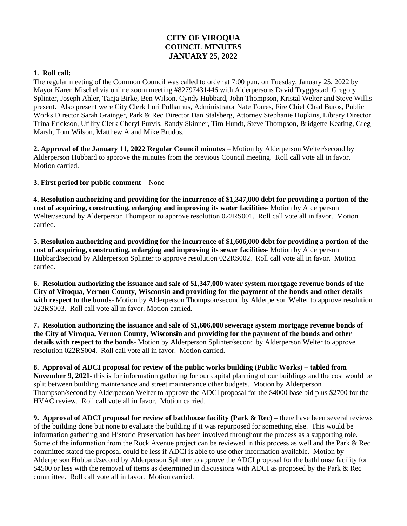## **CITY OF VIROQUA COUNCIL MINUTES JANUARY 25, 2022**

## **1. Roll call:**

The regular meeting of the Common Council was called to order at 7:00 p.m. on Tuesday, January 25, 2022 by Mayor Karen Mischel via online zoom meeting #82797431446 with Alderpersons David Tryggestad, Gregory Splinter, Joseph Ahler, Tanja Birke, Ben Wilson, Cyndy Hubbard, John Thompson, Kristal Welter and Steve Willis present. Also present were City Clerk Lori Polhamus, Administrator Nate Torres, Fire Chief Chad Buros, Public Works Director Sarah Grainger, Park & Rec Director Dan Stalsberg, Attorney Stephanie Hopkins, Library Director Trina Erickson, Utility Clerk Cheryl Purvis, Randy Skinner, Tim Hundt, Steve Thompson, Bridgette Keating, Greg Marsh, Tom Wilson, Matthew A and Mike Brudos.

**2. Approval of the January 11, 2022 Regular Council minutes** – Motion by Alderperson Welter/second by Alderperson Hubbard to approve the minutes from the previous Council meeting. Roll call vote all in favor. Motion carried.

**3. First period for public comment –** None

**4. Resolution authorizing and providing for the incurrence of \$1,347,000 debt for providing a portion of the cost of acquiring, constructing, enlarging and improving its water facilities**- Motion by Alderperson Welter/second by Alderperson Thompson to approve resolution 022RS001. Roll call vote all in favor. Motion carried.

**5. Resolution authorizing and providing for the incurrence of \$1,606,000 debt for providing a portion of the cost of acquiring, constructing, enlarging and improving its sewer facilities**- Motion by Alderperson Hubbard/second by Alderperson Splinter to approve resolution 022RS002. Roll call vote all in favor. Motion carried.

**6. Resolution authorizing the issuance and sale of \$1,347,000 water system mortgage revenue bonds of the City of Viroqua, Vernon County, Wisconsin and providing for the payment of the bonds and other details with respect to the bonds**- Motion by Alderperson Thompson/second by Alderperson Welter to approve resolution 022RS003. Roll call vote all in favor. Motion carried.

**7. Resolution authorizing the issuance and sale of \$1,606,000 sewerage system mortgage revenue bonds of the City of Viroqua, Vernon County, Wisconsin and providing for the payment of the bonds and other details with respect to the bonds**- Motion by Alderperson Splinter/second by Alderperson Welter to approve resolution 022RS004. Roll call vote all in favor. Motion carried.

**8. Approval of ADCI proposal for review of the public works building (Public Works) – tabled from November 9, 2021**- this is for information gathering for our capital planning of our buildings and the cost would be split between building maintenance and street maintenance other budgets. Motion by Alderperson Thompson/second by Alderperson Welter to approve the ADCI proposal for the \$4000 base bid plus \$2700 for the HVAC review. Roll call vote all in favor. Motion carried.

**9. Approval of ADCI proposal for review of bathhouse facility (Park & Rec) –** there have been several reviews of the building done but none to evaluate the building if it was repurposed for something else. This would be information gathering and Historic Preservation has been involved throughout the process as a supporting role. Some of the information from the Rock Avenue project can be reviewed in this process as well and the Park & Rec committee stated the proposal could be less if ADCI is able to use other information available. Motion by Alderperson Hubbard/second by Alderperson Splinter to approve the ADCI proposal for the bathhouse facility for \$4500 or less with the removal of items as determined in discussions with ADCI as proposed by the Park & Rec committee. Roll call vote all in favor. Motion carried.